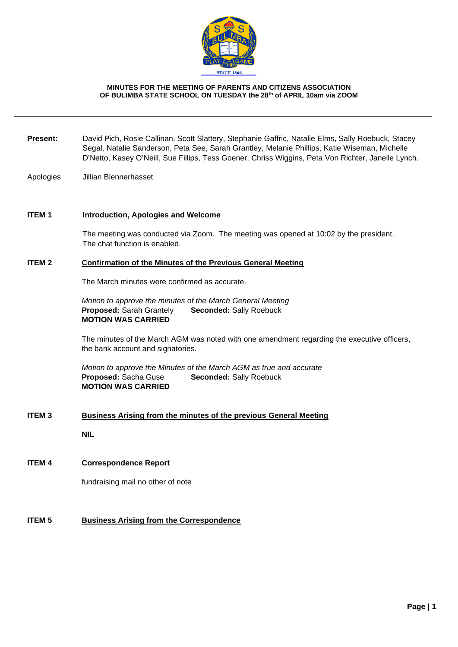

#### **MINUTES FOR THE MEETING OF PARENTS AND CITIZENS ASSOCIATION OF BULIMBA STATE SCHOOL ON TUESDAY the 28th of APRIL 10am via ZOOM**

- **Present:** David Pich, Rosie Callinan, Scott Slattery, Stephanie Gaffric, Natalie Elms, Sally Roebuck, Stacey Segal, Natalie Sanderson, Peta See, Sarah Grantley, Melanie Phillips, Katie Wiseman, Michelle D'Netto, Kasey O'Neill, Sue Fillips, Tess Goener, Chriss Wiggins, Peta Von Richter, Janelle Lynch.
- Apologies Jillian Blennerhasset

### **ITEM 1 Introduction, Apologies and Welcome**

The meeting was conducted via Zoom. The meeting was opened at 10:02 by the president. The chat function is enabled.

#### **ITEM 2 Confirmation of the Minutes of the Previous General Meeting**

The March minutes were confirmed as accurate.

*Motion to approve the minutes of the March General Meeting*  **Proposed:** Sarah Grantely **Seconded:** Sally Roebuck **MOTION WAS CARRIED**

The minutes of the March AGM was noted with one amendment regarding the executive officers, the bank account and signatories.

*Motion to approve the Minutes of the March AGM as true and accurate* **Proposed:** Sacha Guse **Seconded:** Sally Roebuck **MOTION WAS CARRIED**

#### **ITEM 3 Business Arising from the minutes of the previous General Meeting**

**NIL**

## **ITEM 4 Correspondence Report**

fundraising mail no other of note

### **ITEM 5 Business Arising from the Correspondence**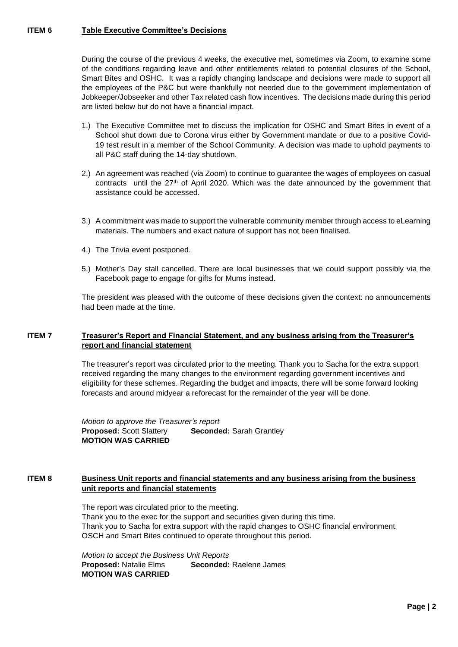## **ITEM 6 Table Executive Committee's Decisions**

During the course of the previous 4 weeks, the executive met, sometimes via Zoom, to examine some of the conditions regarding leave and other entitlements related to potential closures of the School, Smart Bites and OSHC. It was a rapidly changing landscape and decisions were made to support all the employees of the P&C but were thankfully not needed due to the government implementation of Jobkeeper/Jobseeker and other Tax related cash flow incentives. The decisions made during this period are listed below but do not have a financial impact.

- 1.) The Executive Committee met to discuss the implication for OSHC and Smart Bites in event of a School shut down due to Corona virus either by Government mandate or due to a positive Covid-19 test result in a member of the School Community. A decision was made to uphold payments to all P&C staff during the 14-day shutdown.
- 2.) An agreement was reached (via Zoom) to continue to guarantee the wages of employees on casual contracts until the  $27<sup>th</sup>$  of April 2020. Which was the date announced by the government that assistance could be accessed.
- 3.) A commitment was made to support the vulnerable community member through access to eLearning materials. The numbers and exact nature of support has not been finalised.
- 4.) The Trivia event postponed.
- 5.) Mother's Day stall cancelled. There are local businesses that we could support possibly via the Facebook page to engage for gifts for Mums instead.

The president was pleased with the outcome of these decisions given the context: no announcements had been made at the time.

### **ITEM 7 Treasurer's Report and Financial Statement, and any business arising from the Treasurer's report and financial statement**

The treasurer's report was circulated prior to the meeting. Thank you to Sacha for the extra support received regarding the many changes to the environment regarding government incentives and eligibility for these schemes. Regarding the budget and impacts, there will be some forward looking forecasts and around midyear a reforecast for the remainder of the year will be done.

*Motion to approve the Treasurer's report* **Proposed:** Scott Slattery **Seconded:** Sarah Grantley **MOTION WAS CARRIED**

## **ITEM 8 Business Unit reports and financial statements and any business arising from the business unit reports and financial statements**

The report was circulated prior to the meeting. Thank you to the exec for the support and securities given during this time. Thank you to Sacha for extra support with the rapid changes to OSHC financial environment. OSCH and Smart Bites continued to operate throughout this period.

*Motion to accept the Business Unit Reports* **Proposed:** Natalie Elms **Seconded:** Raelene James **MOTION WAS CARRIED**